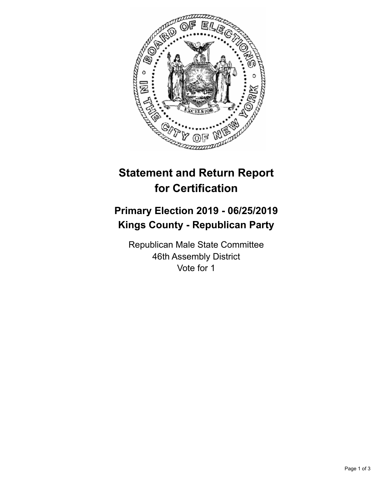

## **Statement and Return Report for Certification**

## **Primary Election 2019 - 06/25/2019 Kings County - Republican Party**

Republican Male State Committee 46th Assembly District Vote for 1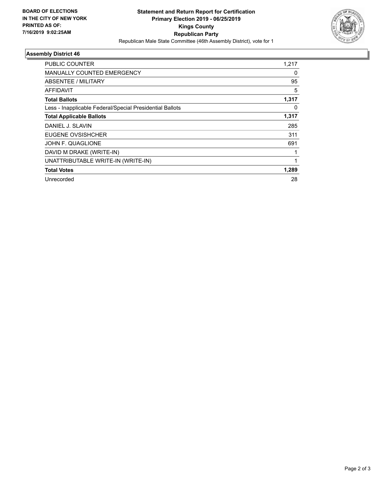

## **Assembly District 46**

| PUBLIC COUNTER                                           | 1,217 |
|----------------------------------------------------------|-------|
| <b>MANUALLY COUNTED EMERGENCY</b>                        | 0     |
| ABSENTEE / MILITARY                                      | 95    |
| AFFIDAVIT                                                | 5     |
| <b>Total Ballots</b>                                     | 1,317 |
| Less - Inapplicable Federal/Special Presidential Ballots | 0     |
| <b>Total Applicable Ballots</b>                          | 1,317 |
| DANIEL J. SLAVIN                                         | 285   |
| EUGENE OVSISHCHER                                        | 311   |
| JOHN F. QUAGLIONE                                        | 691   |
| DAVID M DRAKE (WRITE-IN)                                 |       |
| UNATTRIBUTABLE WRITE-IN (WRITE-IN)                       |       |
| <b>Total Votes</b>                                       | 1,289 |
| Unrecorded                                               | 28    |